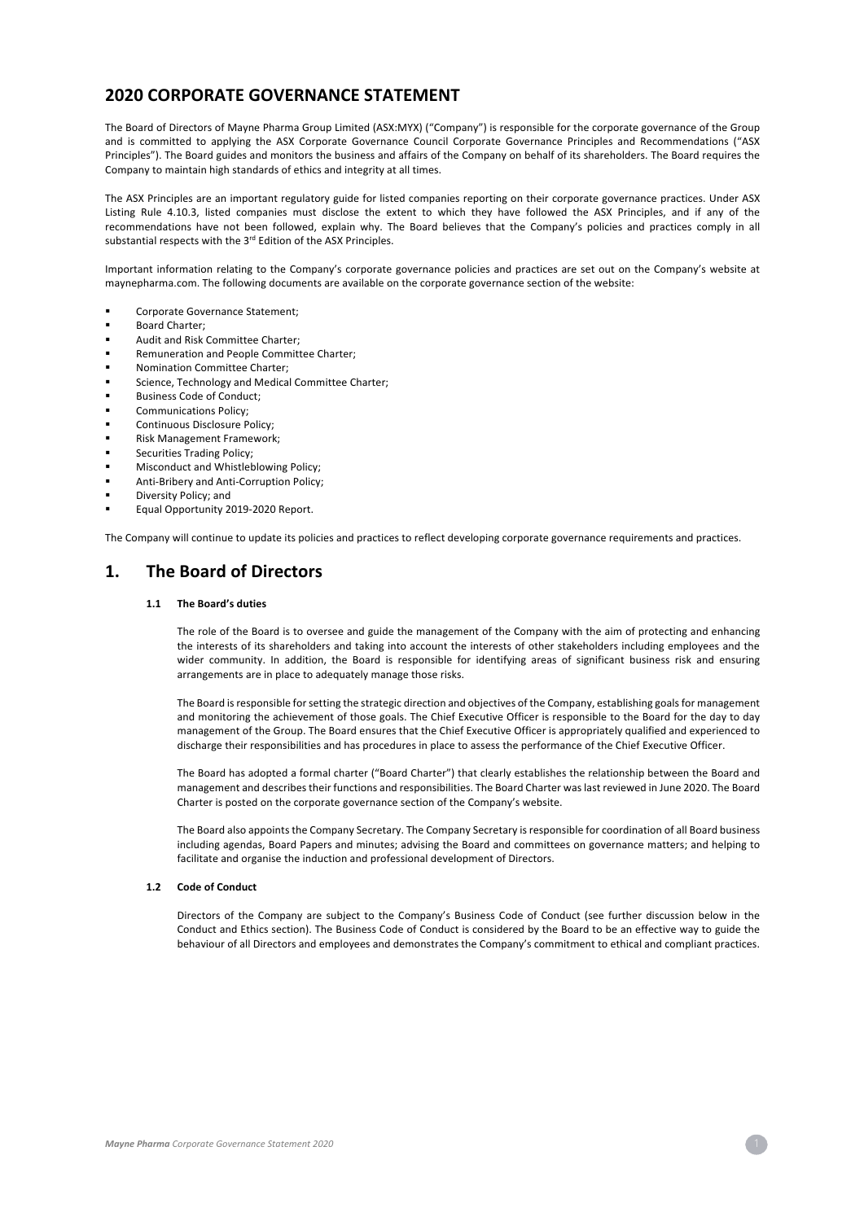# **2020 CORPORATE GOVERNANCE STATEMENT**

The Board of Directors of Mayne Pharma Group Limited (ASX:MYX) ("Company") is responsible for the corporate governance of the Group and is committed to applying the ASX Corporate Governance Council Corporate Governance Principles and Recommendations ("ASX Principles"). The Board guides and monitors the business and affairs of the Company on behalf of its shareholders. The Board requires the Company to maintain high standards of ethics and integrity at all times.

The ASX Principles are an important regulatory guide for listed companies reporting on their corporate governance practices. Under ASX Listing Rule 4.10.3, listed companies must disclose the extent to which they have followed the ASX Principles, and if any of the recommendations have not been followed, explain why. The Board believes that the Company's policies and practices comply in all substantial respects with the 3<sup>rd</sup> Edition of the ASX Principles.

Important information relating to the Company's corporate governance policies and practices are set out on the Company's website at maynepharma.com. The following documents are available on the corporate governance section of the website:

- § Corporate Governance Statement;
- § Board Charter;
- § Audit and Risk Committee Charter;
- § Remuneration and People Committee Charter;
- § Nomination Committee Charter;
- Science, Technology and Medical Committee Charter;
- § Business Code of Conduct;
- § Communications Policy;
- § Continuous Disclosure Policy;
- § Risk Management Framework;
- § Securities Trading Policy;
- § Misconduct and Whistleblowing Policy;
- § Anti-Bribery and Anti-Corruption Policy;
- § Diversity Policy; and
- Equal Opportunity 2019-2020 Report.

The Company will continue to update its policies and practices to reflect developing corporate governance requirements and practices.

# **1. The Board of Directors**

## **1.1 The Board's duties**

The role of the Board is to oversee and guide the management of the Company with the aim of protecting and enhancing the interests of its shareholders and taking into account the interests of other stakeholders including employees and the wider community. In addition, the Board is responsible for identifying areas of significant business risk and ensuring arrangements are in place to adequately manage those risks.

The Board is responsible for setting the strategic direction and objectives of the Company, establishing goals for management and monitoring the achievement of those goals. The Chief Executive Officer is responsible to the Board for the day to day management of the Group. The Board ensures that the Chief Executive Officer is appropriately qualified and experienced to discharge their responsibilities and has procedures in place to assess the performance of the Chief Executive Officer.

The Board has adopted a formal charter ("Board Charter") that clearly establishes the relationship between the Board and management and describes their functions and responsibilities. The Board Charter was last reviewed in June 2020. The Board Charter is posted on the corporate governance section of the Company's website.

The Board also appoints the Company Secretary. The Company Secretary is responsible for coordination of all Board business including agendas, Board Papers and minutes; advising the Board and committees on governance matters; and helping to facilitate and organise the induction and professional development of Directors.

### **1.2 Code of Conduct**

Directors of the Company are subject to the Company's Business Code of Conduct (see further discussion below in the Conduct and Ethics section). The Business Code of Conduct is considered by the Board to be an effective way to guide the behaviour of all Directors and employees and demonstrates the Company's commitment to ethical and compliant practices.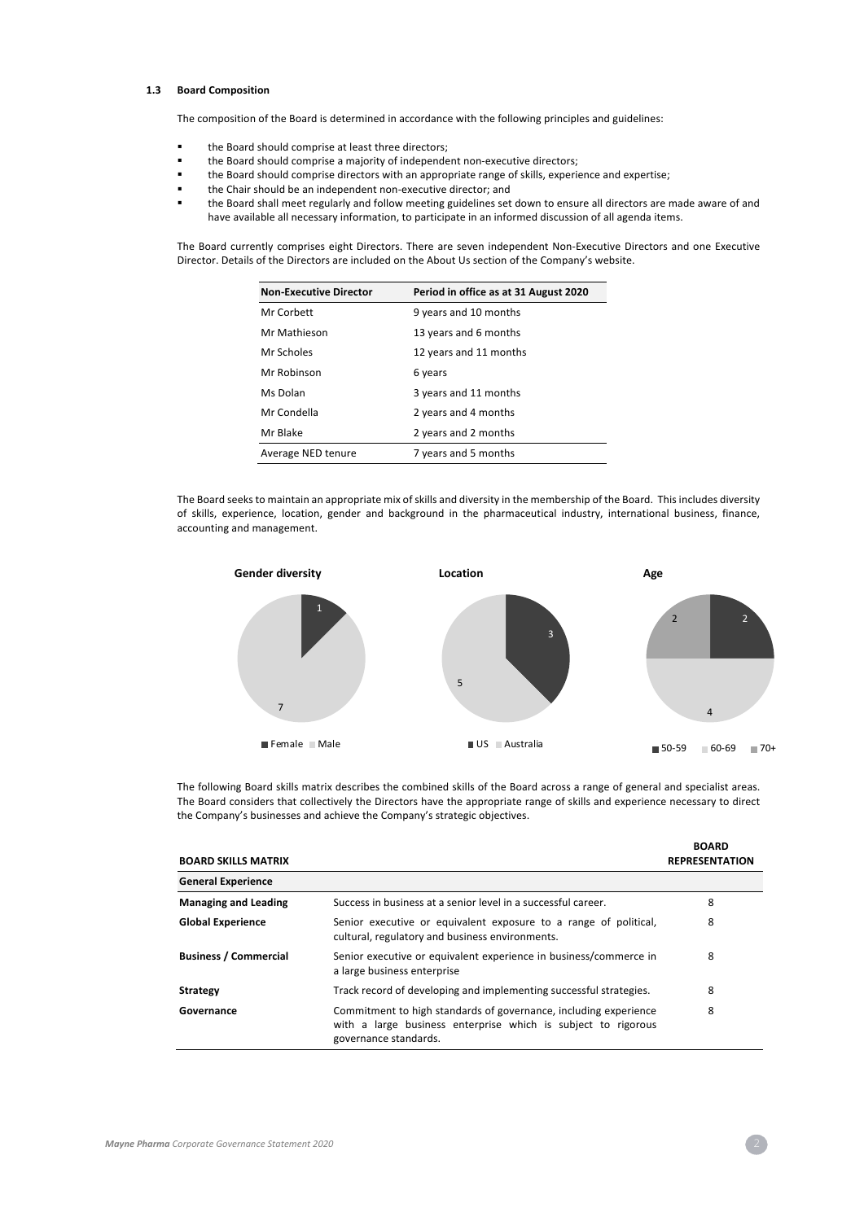## **1.3 Board Composition**

The composition of the Board is determined in accordance with the following principles and guidelines:

- the Board should comprise at least three directors;
- the Board should comprise a majority of independent non-executive directors;
- the Board should comprise directors with an appropriate range of skills, experience and expertise;
- the Chair should be an independent non-executive director; and
- the Board shall meet regularly and follow meeting guidelines set down to ensure all directors are made aware of and have available all necessary information, to participate in an informed discussion of all agenda items.

The Board currently comprises eight Directors. There are seven independent Non-Executive Directors and one Executive Director. Details of the Directors are included on the About Us section of the Company's website.

| <b>Non-Executive Director</b><br>Period in office as at 31 August 2020 |                        |
|------------------------------------------------------------------------|------------------------|
| Mr Corbett                                                             | 9 years and 10 months  |
| Mr Mathieson                                                           | 13 years and 6 months  |
| Mr Scholes                                                             | 12 years and 11 months |
| Mr Robinson                                                            | 6 years                |
| Ms Dolan                                                               | 3 years and 11 months  |
| Mr Condella                                                            | 2 years and 4 months   |
| Mr Blake                                                               | 2 years and 2 months   |
| Average NED tenure                                                     | 7 years and 5 months   |

The Board seeks to maintain an appropriate mix of skills and diversity in the membership of the Board. This includes diversity of skills, experience, location, gender and background in the pharmaceutical industry, international business, finance, accounting and management.



The following Board skills matrix describes the combined skills of the Board across a range of general and specialist areas. The Board considers that collectively the Directors have the appropriate range of skills and experience necessary to direct the Company's businesses and achieve the Company's strategic objectives.

| <b>BOARD SKILLS MATRIX</b>   |                                                                                                                                                            | <b>BOARD</b><br><b>REPRESENTATION</b> |
|------------------------------|------------------------------------------------------------------------------------------------------------------------------------------------------------|---------------------------------------|
| <b>General Experience</b>    |                                                                                                                                                            |                                       |
| <b>Managing and Leading</b>  | Success in business at a senior level in a successful career.                                                                                              | 8                                     |
| <b>Global Experience</b>     | Senior executive or equivalent exposure to a range of political,<br>cultural, regulatory and business environments.                                        | 8                                     |
| <b>Business / Commercial</b> | Senior executive or equivalent experience in business/commerce in<br>a large business enterprise                                                           | 8                                     |
| <b>Strategy</b>              | Track record of developing and implementing successful strategies.                                                                                         | 8                                     |
| Governance                   | Commitment to high standards of governance, including experience<br>with a large business enterprise which is subject to rigorous<br>governance standards. | 8                                     |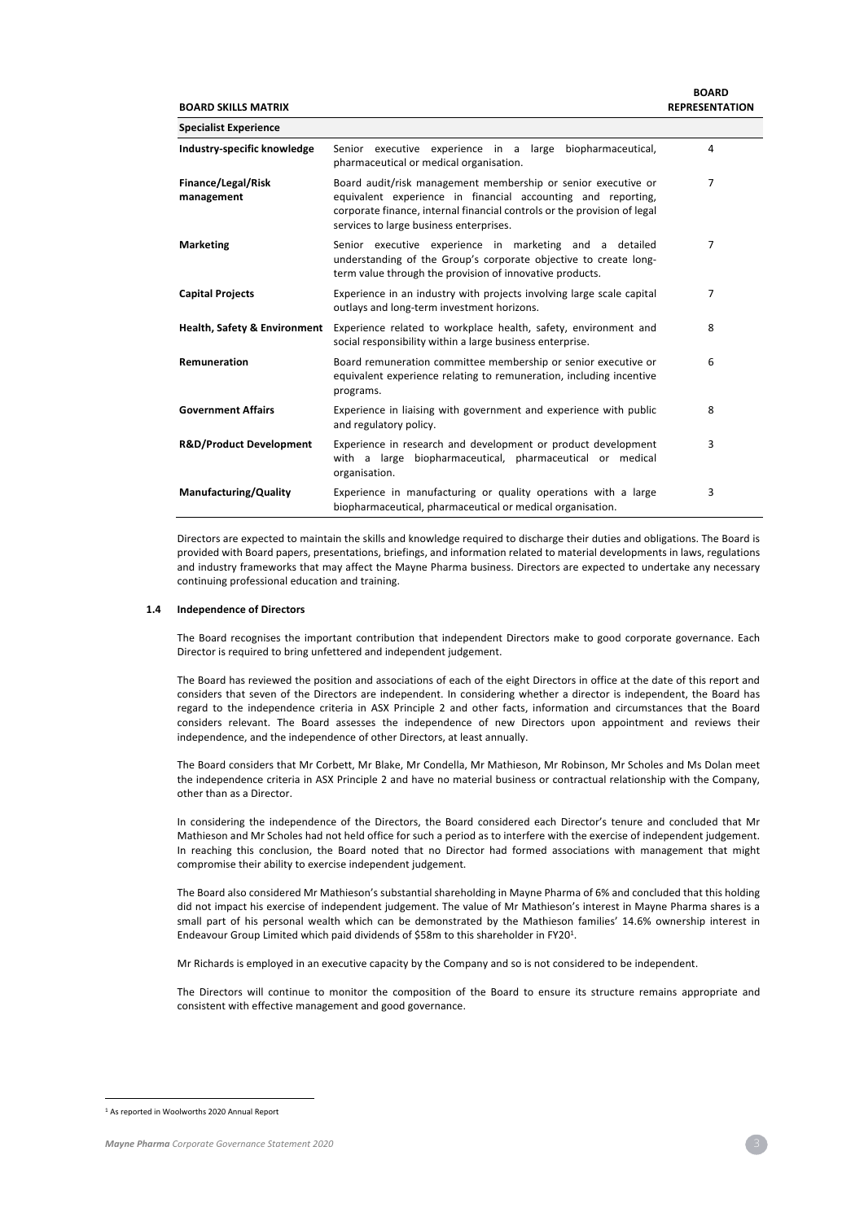**BOARD SKILLS MATRIX**

| <b>Specialist Experience</b>            |                                                                                                                                                                                                                                                      |   |
|-----------------------------------------|------------------------------------------------------------------------------------------------------------------------------------------------------------------------------------------------------------------------------------------------------|---|
| Industry-specific knowledge             | Senior executive experience in a large biopharmaceutical,<br>pharmaceutical or medical organisation.                                                                                                                                                 | 4 |
| Finance/Legal/Risk<br>management        | Board audit/risk management membership or senior executive or<br>equivalent experience in financial accounting and reporting,<br>corporate finance, internal financial controls or the provision of legal<br>services to large business enterprises. | 7 |
| <b>Marketing</b>                        | Senior executive experience in marketing and a detailed<br>understanding of the Group's corporate objective to create long-<br>term value through the provision of innovative products.                                                              | 7 |
| <b>Capital Projects</b>                 | Experience in an industry with projects involving large scale capital<br>outlays and long-term investment horizons.                                                                                                                                  | 7 |
| <b>Health, Safety &amp; Environment</b> | Experience related to workplace health, safety, environment and<br>social responsibility within a large business enterprise.                                                                                                                         | 8 |
| Remuneration                            | Board remuneration committee membership or senior executive or<br>equivalent experience relating to remuneration, including incentive<br>programs.                                                                                                   | 6 |
| <b>Government Affairs</b>               | Experience in liaising with government and experience with public<br>and regulatory policy.                                                                                                                                                          | 8 |
| <b>R&amp;D/Product Development</b>      | Experience in research and development or product development<br>with a large biopharmaceutical, pharmaceutical or medical<br>organisation.                                                                                                          | 3 |
| Manufacturing/Quality                   | Experience in manufacturing or quality operations with a large<br>biopharmaceutical, pharmaceutical or medical organisation.                                                                                                                         | 3 |

Directors are expected to maintain the skills and knowledge required to discharge their duties and obligations. The Board is provided with Board papers, presentations, briefings, and information related to material developments in laws, regulations and industry frameworks that may affect the Mayne Pharma business. Directors are expected to undertake any necessary continuing professional education and training.

### **1.4 Independence of Directors**

The Board recognises the important contribution that independent Directors make to good corporate governance. Each Director is required to bring unfettered and independent judgement.

The Board has reviewed the position and associations of each of the eight Directors in office at the date of this report and considers that seven of the Directors are independent. In considering whether a director is independent, the Board has regard to the independence criteria in ASX Principle 2 and other facts, information and circumstances that the Board considers relevant. The Board assesses the independence of new Directors upon appointment and reviews their independence, and the independence of other Directors, at least annually.

The Board considers that Mr Corbett, Mr Blake, Mr Condella, Mr Mathieson, Mr Robinson, Mr Scholes and Ms Dolan meet the independence criteria in ASX Principle 2 and have no material business or contractual relationship with the Company, other than as a Director.

In considering the independence of the Directors, the Board considered each Director's tenure and concluded that Mr Mathieson and Mr Scholes had not held office for such a period as to interfere with the exercise of independent judgement. In reaching this conclusion, the Board noted that no Director had formed associations with management that might compromise their ability to exercise independent judgement.

The Board also considered Mr Mathieson's substantial shareholding in Mayne Pharma of 6% and concluded that this holding did not impact his exercise of independent judgement. The value of Mr Mathieson's interest in Mayne Pharma shares is a small part of his personal wealth which can be demonstrated by the Mathieson families' 14.6% ownership interest in Endeavour Group Limited which paid dividends of \$58m to this shareholder in FY201.

Mr Richards is employed in an executive capacity by the Company and so is not considered to be independent.

The Directors will continue to monitor the composition of the Board to ensure its structure remains appropriate and consistent with effective management and good governance.

<sup>1</sup> As reported in Woolworths 2020 Annual Report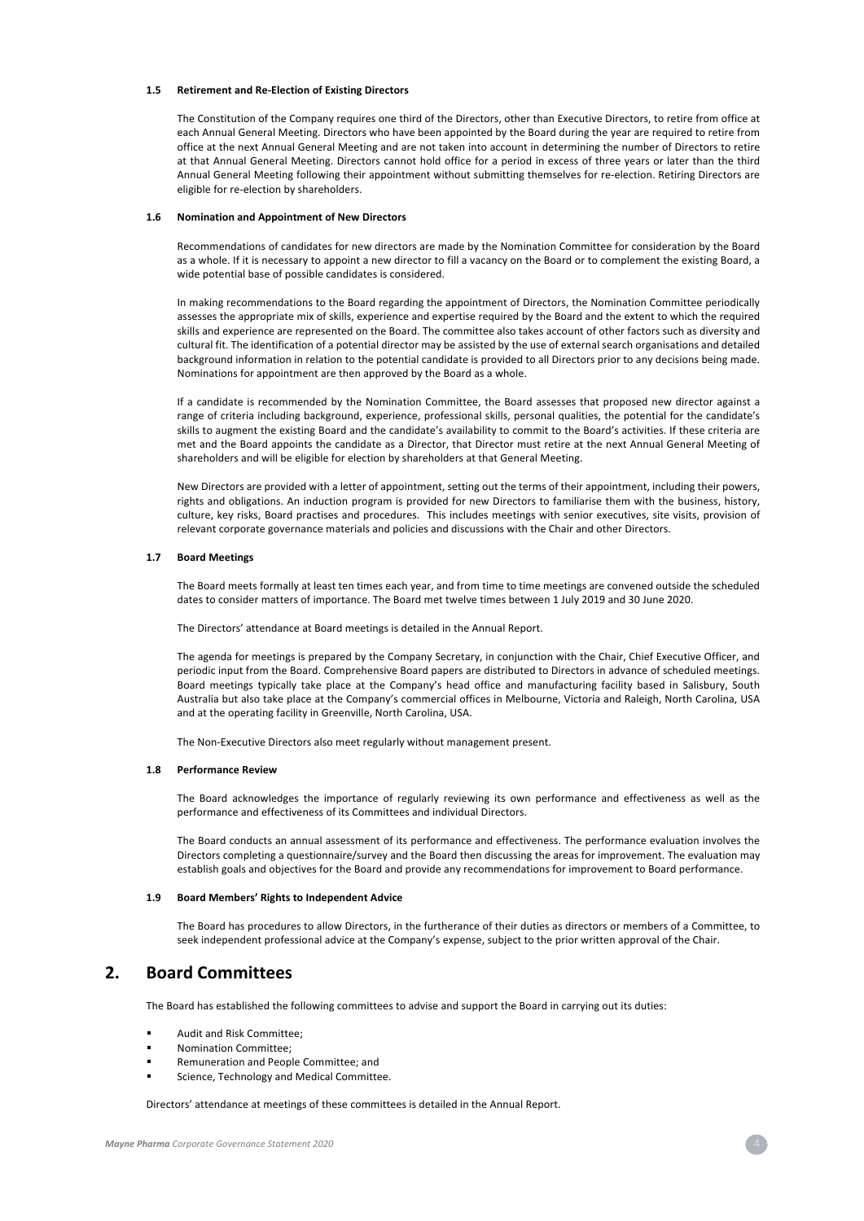### **1.5 Retirement and Re-Election of Existing Directors**

The Constitution of the Company requires one third of the Directors, other than Executive Directors, to retire from office at each Annual General Meeting. Directors who have been appointed by the Board during the year are required to retire from office at the next Annual General Meeting and are not taken into account in determining the number of Directors to retire at that Annual General Meeting. Directors cannot hold office for a period in excess of three years or later than the third Annual General Meeting following their appointment without submitting themselves for re-election. Retiring Directors are eligible for re-election by shareholders.

#### **1.6 Nomination and Appointment of New Directors**

Recommendations of candidates for new directors are made by the Nomination Committee for consideration by the Board as a whole. If it is necessary to appoint a new director to fill a vacancy on the Board or to complement the existing Board, a wide potential base of possible candidates is considered.

In making recommendations to the Board regarding the appointment of Directors, the Nomination Committee periodically assesses the appropriate mix of skills, experience and expertise required by the Board and the extent to which the required skills and experience are represented on the Board. The committee also takes account of other factors such as diversity and cultural fit. The identification of a potential director may be assisted by the use of external search organisations and detailed background information in relation to the potential candidate is provided to all Directors prior to any decisions being made. Nominations for appointment are then approved by the Board as a whole.

If a candidate is recommended by the Nomination Committee, the Board assesses that proposed new director against a range of criteria including background, experience, professional skills, personal qualities, the potential for the candidate's skills to augment the existing Board and the candidate's availability to commit to the Board's activities. If these criteria are met and the Board appoints the candidate as a Director, that Director must retire at the next Annual General Meeting of shareholders and will be eligible for election by shareholders at that General Meeting.

New Directors are provided with a letter of appointment, setting out the terms of their appointment, including their powers, rights and obligations. An induction program is provided for new Directors to familiarise them with the business, history, culture, key risks, Board practises and procedures. This includes meetings with senior executives, site visits, provision of relevant corporate governance materials and policies and discussions with the Chair and other Directors.

### **1.7 Board Meetings**

The Board meets formally at least ten times each year, and from time to time meetings are convened outside the scheduled dates to consider matters of importance. The Board met twelve times between 1 July 2019 and 30 June 2020.

The Directors' attendance at Board meetings is detailed in the Annual Report.

The agenda for meetings is prepared by the Company Secretary, in conjunction with the Chair, Chief Executive Officer, and periodic input from the Board. Comprehensive Board papers are distributed to Directors in advance of scheduled meetings. Board meetings typically take place at the Company's head office and manufacturing facility based in Salisbury, South Australia but also take place at the Company's commercial offices in Melbourne, Victoria and Raleigh, North Carolina, USA and at the operating facility in Greenville, North Carolina, USA.

The Non-Executive Directors also meet regularly without management present.

### **1.8 Performance Review**

The Board acknowledges the importance of regularly reviewing its own performance and effectiveness as well as the performance and effectiveness of its Committees and individual Directors.

The Board conducts an annual assessment of its performance and effectiveness. The performance evaluation involves the Directors completing a questionnaire/survey and the Board then discussing the areas for improvement. The evaluation may establish goals and objectives for the Board and provide any recommendations for improvement to Board performance.

### **1.9 Board Members' Rights to Independent Advice**

The Board has procedures to allow Directors, in the furtherance of their duties as directors or members of a Committee, to seek independent professional advice at the Company's expense, subject to the prior written approval of the Chair.

# **2. Board Committees**

The Board has established the following committees to advise and support the Board in carrying out its duties:

- § Audit and Risk Committee;
- § Nomination Committee;
- § Remuneration and People Committee; and
- Science, Technology and Medical Committee.

Directors' attendance at meetings of these committees is detailed in the Annual Report.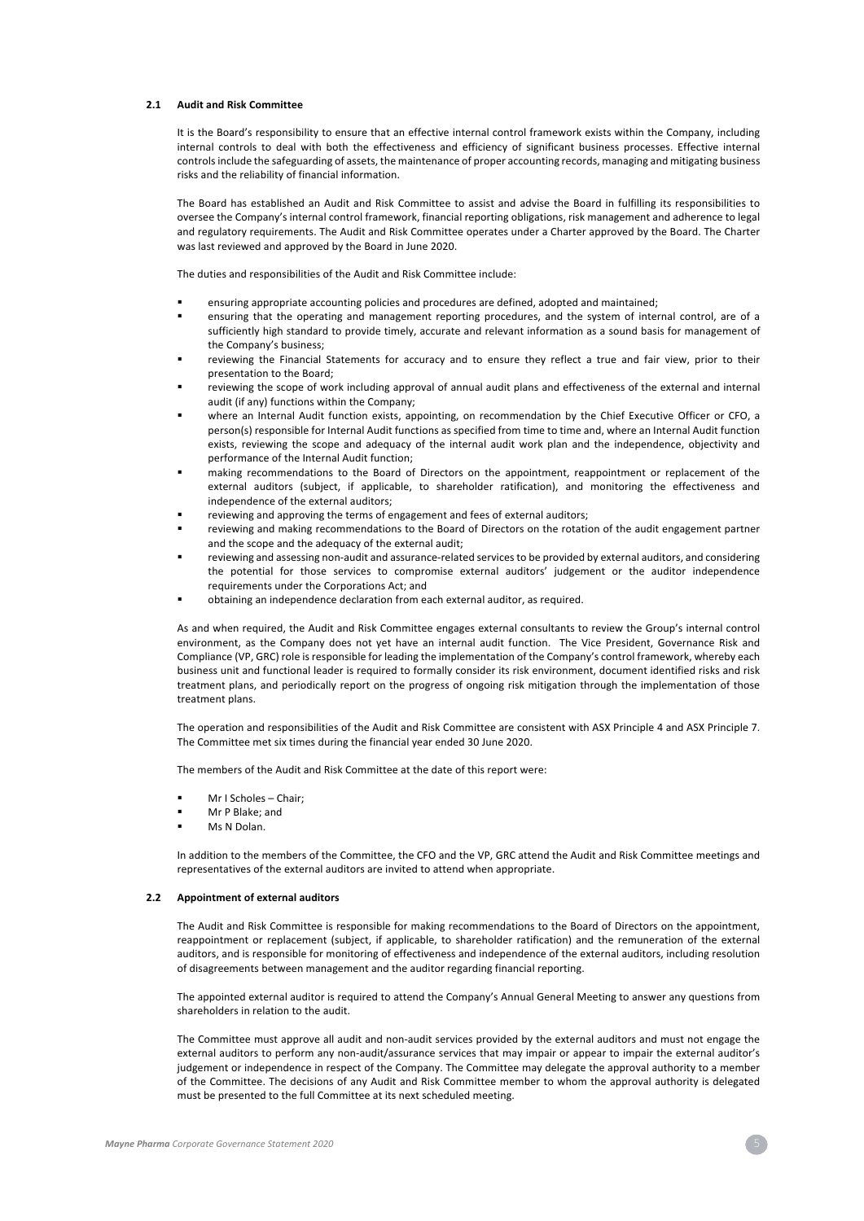### **2.1 Audit and Risk Committee**

It is the Board's responsibility to ensure that an effective internal control framework exists within the Company, including internal controls to deal with both the effectiveness and efficiency of significant business processes. Effective internal controls include the safeguarding of assets, the maintenance of proper accounting records, managing and mitigating business risks and the reliability of financial information.

The Board has established an Audit and Risk Committee to assist and advise the Board in fulfilling its responsibilities to oversee the Company's internal control framework, financial reporting obligations, risk management and adherence to legal and regulatory requirements. The Audit and Risk Committee operates under a Charter approved by the Board. The Charter was last reviewed and approved by the Board in June 2020.

The duties and responsibilities of the Audit and Risk Committee include:

- § ensuring appropriate accounting policies and procedures are defined, adopted and maintained;
- ensuring that the operating and management reporting procedures, and the system of internal control, are of a sufficiently high standard to provide timely, accurate and relevant information as a sound basis for management of the Company's business;
- reviewing the Financial Statements for accuracy and to ensure they reflect a true and fair view, prior to their presentation to the Board;
- reviewing the scope of work including approval of annual audit plans and effectiveness of the external and internal audit (if any) functions within the Company;
- where an Internal Audit function exists, appointing, on recommendation by the Chief Executive Officer or CFO, a person(s) responsible for Internal Audit functions as specified from time to time and, where an Internal Audit function exists, reviewing the scope and adequacy of the internal audit work plan and the independence, objectivity and performance of the Internal Audit function;
- making recommendations to the Board of Directors on the appointment, reappointment or replacement of the external auditors (subject, if applicable, to shareholder ratification), and monitoring the effectiveness and independence of the external auditors;
- reviewing and approving the terms of engagement and fees of external auditors;
- reviewing and making recommendations to the Board of Directors on the rotation of the audit engagement partner and the scope and the adequacy of the external audit;
- reviewing and assessing non-audit and assurance-related services to be provided by external auditors, and considering the potential for those services to compromise external auditors' judgement or the auditor independence requirements under the Corporations Act; and
- obtaining an independence declaration from each external auditor, as required.

As and when required, the Audit and Risk Committee engages external consultants to review the Group's internal control environment, as the Company does not yet have an internal audit function. The Vice President, Governance Risk and Compliance (VP, GRC) role is responsible for leading the implementation of the Company's control framework, whereby each business unit and functional leader is required to formally consider its risk environment, document identified risks and risk treatment plans, and periodically report on the progress of ongoing risk mitigation through the implementation of those treatment plans.

The operation and responsibilities of the Audit and Risk Committee are consistent with ASX Principle 4 and ASX Principle 7. The Committee met six times during the financial year ended 30 June 2020.

The members of the Audit and Risk Committee at the date of this report were:

- § Mr I Scholes Chair;
- § Mr P Blake; and
- Ms N Dolan.

In addition to the members of the Committee, the CFO and the VP, GRC attend the Audit and Risk Committee meetings and representatives of the external auditors are invited to attend when appropriate.

#### **2.2 Appointment of external auditors**

The Audit and Risk Committee is responsible for making recommendations to the Board of Directors on the appointment, reappointment or replacement (subject, if applicable, to shareholder ratification) and the remuneration of the external auditors, and is responsible for monitoring of effectiveness and independence of the external auditors, including resolution of disagreements between management and the auditor regarding financial reporting.

The appointed external auditor is required to attend the Company's Annual General Meeting to answer any questions from shareholders in relation to the audit.

The Committee must approve all audit and non-audit services provided by the external auditors and must not engage the external auditors to perform any non-audit/assurance services that may impair or appear to impair the external auditor's judgement or independence in respect of the Company. The Committee may delegate the approval authority to a member of the Committee. The decisions of any Audit and Risk Committee member to whom the approval authority is delegated must be presented to the full Committee at its next scheduled meeting.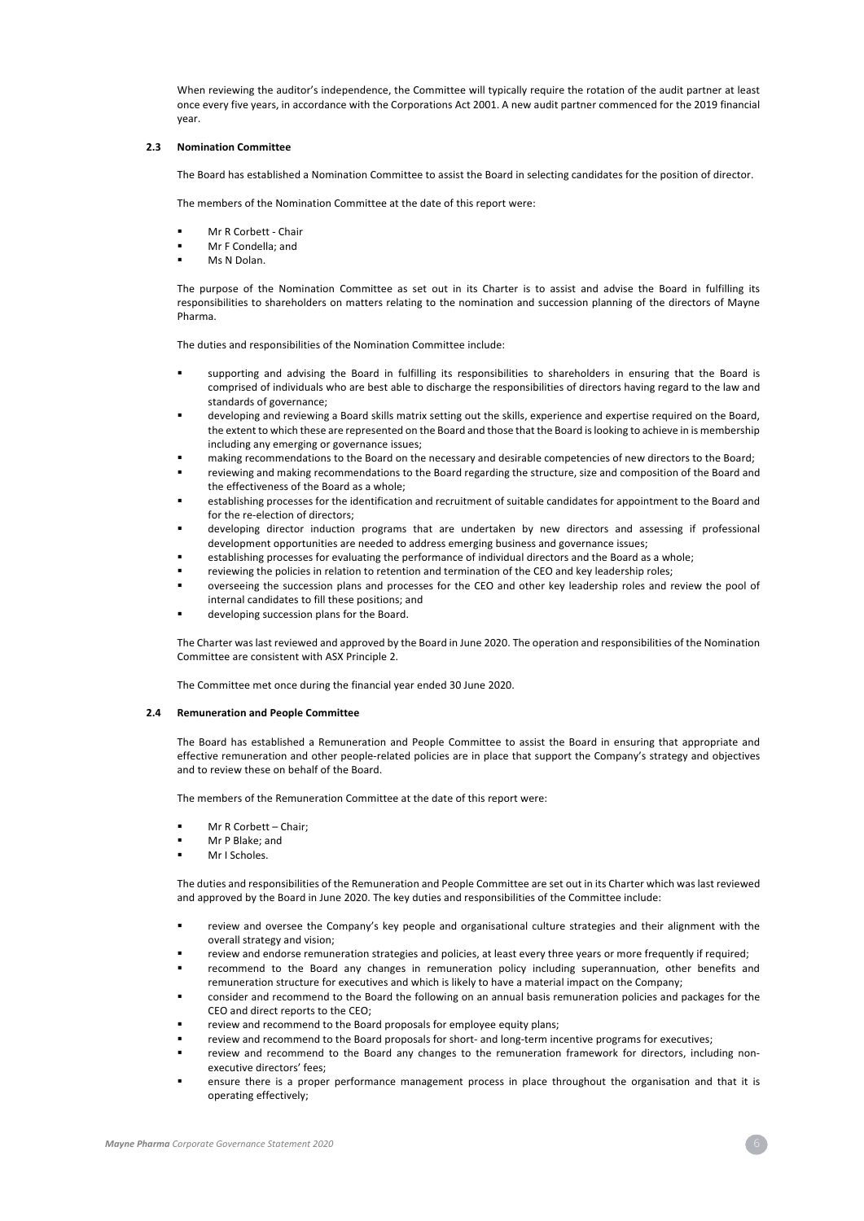When reviewing the auditor's independence, the Committee will typically require the rotation of the audit partner at least once every five years, in accordance with the Corporations Act 2001. A new audit partner commenced for the 2019 financial year.

### **2.3 Nomination Committee**

The Board has established a Nomination Committee to assist the Board in selecting candidates for the position of director.

The members of the Nomination Committee at the date of this report were:

- § Mr R Corbett Chair
- § Mr F Condella; and
- Ms N Dolan.

The purpose of the Nomination Committee as set out in its Charter is to assist and advise the Board in fulfilling its responsibilities to shareholders on matters relating to the nomination and succession planning of the directors of Mayne Pharma.

The duties and responsibilities of the Nomination Committee include:

- § supporting and advising the Board in fulfilling its responsibilities to shareholders in ensuring that the Board is comprised of individuals who are best able to discharge the responsibilities of directors having regard to the law and standards of governance;
- developing and reviewing a Board skills matrix setting out the skills, experience and expertise required on the Board, the extent to which these are represented on the Board and those that the Board is looking to achieve in is membership including any emerging or governance issues;
- making recommendations to the Board on the necessary and desirable competencies of new directors to the Board;
- reviewing and making recommendations to the Board regarding the structure, size and composition of the Board and the effectiveness of the Board as a whole;
- establishing processes for the identification and recruitment of suitable candidates for appointment to the Board and for the re-election of directors;
- developing director induction programs that are undertaken by new directors and assessing if professional development opportunities are needed to address emerging business and governance issues;
- § establishing processes for evaluating the performance of individual directors and the Board as a whole;
- reviewing the policies in relation to retention and termination of the CEO and key leadership roles;
- § overseeing the succession plans and processes for the CEO and other key leadership roles and review the pool of internal candidates to fill these positions; and
- developing succession plans for the Board.

The Charter was last reviewed and approved by the Board in June 2020. The operation and responsibilities of the Nomination Committee are consistent with ASX Principle 2.

The Committee met once during the financial year ended 30 June 2020.

## **2.4 Remuneration and People Committee**

The Board has established a Remuneration and People Committee to assist the Board in ensuring that appropriate and effective remuneration and other people-related policies are in place that support the Company's strategy and objectives and to review these on behalf of the Board.

The members of the Remuneration Committee at the date of this report were:

- § Mr R Corbett Chair;
- § Mr P Blake; and
- § Mr I Scholes.

The duties and responsibilities of the Remuneration and People Committee are set out in its Charter which was last reviewed and approved by the Board in June 2020. The key duties and responsibilities of the Committee include:

- review and oversee the Company's key people and organisational culture strategies and their alignment with the overall strategy and vision;
- review and endorse remuneration strategies and policies, at least every three years or more frequently if required;
- recommend to the Board any changes in remuneration policy including superannuation, other benefits and remuneration structure for executives and which is likely to have a material impact on the Company;
- consider and recommend to the Board the following on an annual basis remuneration policies and packages for the CEO and direct reports to the CEO;
- review and recommend to the Board proposals for employee equity plans;
- review and recommend to the Board proposals for short- and long-term incentive programs for executives;
- review and recommend to the Board any changes to the remuneration framework for directors, including nonexecutive directors' fees;
- ensure there is a proper performance management process in place throughout the organisation and that it is operating effectively;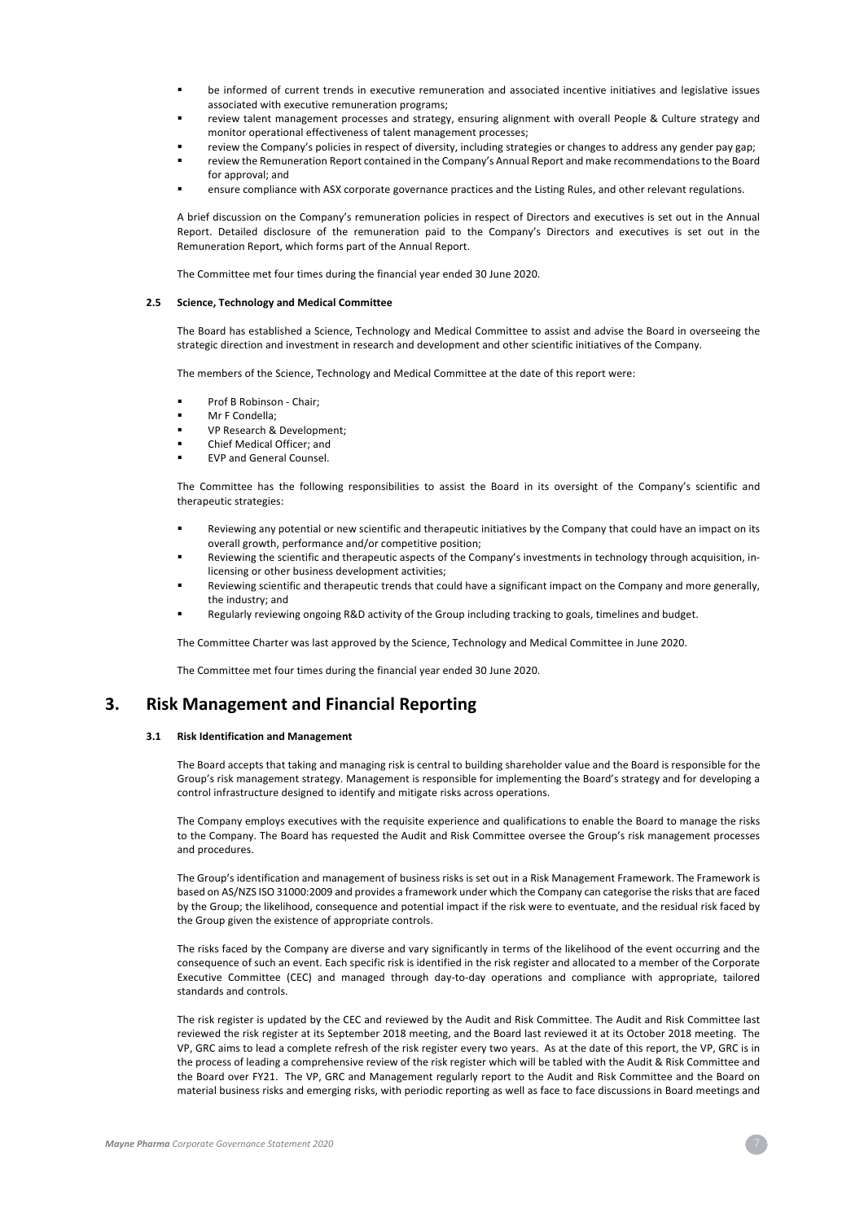- be informed of current trends in executive remuneration and associated incentive initiatives and legislative issues associated with executive remuneration programs;
- review talent management processes and strategy, ensuring alignment with overall People & Culture strategy and monitor operational effectiveness of talent management processes;
	- review the Company's policies in respect of diversity, including strategies or changes to address any gender pay gap;
- review the Remuneration Report contained in the Company's Annual Report and make recommendations to the Board for approval; and
- ensure compliance with ASX corporate governance practices and the Listing Rules, and other relevant regulations.

A brief discussion on the Company's remuneration policies in respect of Directors and executives is set out in the Annual Report. Detailed disclosure of the remuneration paid to the Company's Directors and executives is set out in the Remuneration Report, which forms part of the Annual Report.

The Committee met four times during the financial year ended 30 June 2020.

### **2.5 Science, Technology and Medical Committee**

The Board has established a Science, Technology and Medical Committee to assist and advise the Board in overseeing the strategic direction and investment in research and development and other scientific initiatives of the Company.

The members of the Science, Technology and Medical Committee at the date of this report were:

- § Prof B Robinson Chair;
- § Mr F Condella;
- § VP Research & Development;
- § Chief Medical Officer; and
- § EVP and General Counsel.

The Committee has the following responsibilities to assist the Board in its oversight of the Company's scientific and therapeutic strategies:

- Reviewing any potential or new scientific and therapeutic initiatives by the Company that could have an impact on its overall growth, performance and/or competitive position;
- Reviewing the scientific and therapeutic aspects of the Company's investments in technology through acquisition, inlicensing or other business development activities;
- Reviewing scientific and therapeutic trends that could have a significant impact on the Company and more generally, the industry; and
- § Regularly reviewing ongoing R&D activity of the Group including tracking to goals, timelines and budget.

The Committee Charter was last approved by the Science, Technology and Medical Committee in June 2020.

The Committee met four times during the financial year ended 30 June 2020.

## **3. Risk Management and Financial Reporting**

## **3.1 Risk Identification and Management**

The Board accepts that taking and managing risk is central to building shareholder value and the Board is responsible for the Group's risk management strategy. Management is responsible for implementing the Board's strategy and for developing a control infrastructure designed to identify and mitigate risks across operations.

The Company employs executives with the requisite experience and qualifications to enable the Board to manage the risks to the Company. The Board has requested the Audit and Risk Committee oversee the Group's risk management processes and procedures.

The Group's identification and management of business risks is set out in a Risk Management Framework. The Framework is based on AS/NZS ISO 31000:2009 and provides a framework under which the Company can categorise the risks that are faced by the Group; the likelihood, consequence and potential impact if the risk were to eventuate, and the residual risk faced by the Group given the existence of appropriate controls.

The risks faced by the Company are diverse and vary significantly in terms of the likelihood of the event occurring and the consequence of such an event. Each specific risk is identified in the risk register and allocated to a member of the Corporate Executive Committee (CEC) and managed through day-to-day operations and compliance with appropriate, tailored standards and controls.

The risk register is updated by the CEC and reviewed by the Audit and Risk Committee. The Audit and Risk Committee last reviewed the risk register at its September 2018 meeting, and the Board last reviewed it at its October 2018 meeting. The VP, GRC aims to lead a complete refresh of the risk register every two years. As at the date of this report, the VP, GRC is in the process of leading a comprehensive review of the risk register which will be tabled with the Audit & Risk Committee and the Board over FY21. The VP, GRC and Management regularly report to the Audit and Risk Committee and the Board on material business risks and emerging risks, with periodic reporting as well as face to face discussions in Board meetings and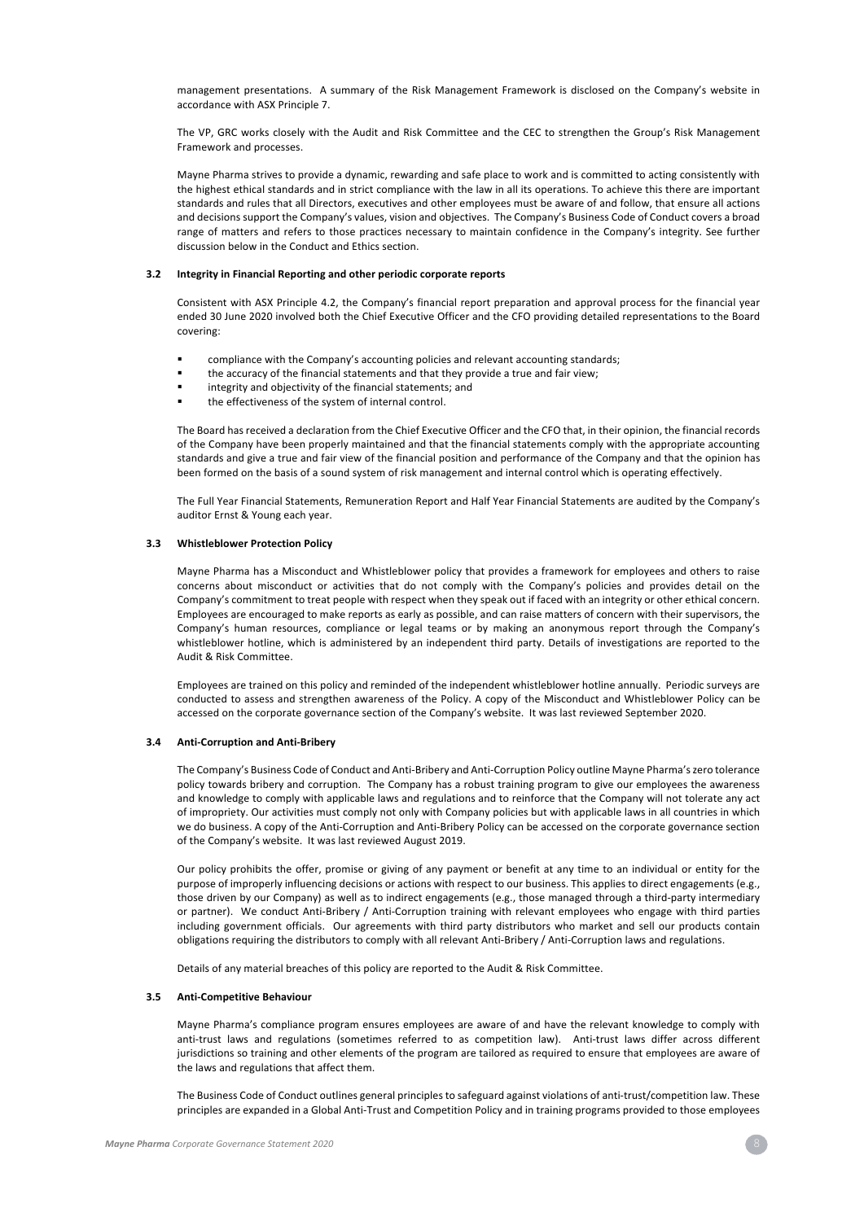management presentations. A summary of the Risk Management Framework is disclosed on the Company's website in accordance with ASX Principle 7.

The VP, GRC works closely with the Audit and Risk Committee and the CEC to strengthen the Group's Risk Management Framework and processes.

Mayne Pharma strives to provide a dynamic, rewarding and safe place to work and is committed to acting consistently with the highest ethical standards and in strict compliance with the law in all its operations. To achieve this there are important standards and rules that all Directors, executives and other employees must be aware of and follow, that ensure all actions and decisions support the Company's values, vision and objectives. The Company's Business Code of Conduct covers a broad range of matters and refers to those practices necessary to maintain confidence in the Company's integrity. See further discussion below in the Conduct and Ethics section.

### **3.2 Integrity in Financial Reporting and other periodic corporate reports**

Consistent with ASX Principle 4.2, the Company's financial report preparation and approval process for the financial year ended 30 June 2020 involved both the Chief Executive Officer and the CFO providing detailed representations to the Board covering:

- compliance with the Company's accounting policies and relevant accounting standards;
- the accuracy of the financial statements and that they provide a true and fair view;
- integrity and objectivity of the financial statements; and
- the effectiveness of the system of internal control.

The Board has received a declaration from the Chief Executive Officer and the CFO that, in their opinion, the financial records of the Company have been properly maintained and that the financial statements comply with the appropriate accounting standards and give a true and fair view of the financial position and performance of the Company and that the opinion has been formed on the basis of a sound system of risk management and internal control which is operating effectively.

The Full Year Financial Statements, Remuneration Report and Half Year Financial Statements are audited by the Company's auditor Ernst & Young each year.

### **3.3 Whistleblower Protection Policy**

Mayne Pharma has a Misconduct and Whistleblower policy that provides a framework for employees and others to raise concerns about misconduct or activities that do not comply with the Company's policies and provides detail on the Company's commitment to treat people with respect when they speak out if faced with an integrity or other ethical concern. Employees are encouraged to make reports as early as possible, and can raise matters of concern with their supervisors, the Company's human resources, compliance or legal teams or by making an anonymous report through the Company's whistleblower hotline, which is administered by an independent third party. Details of investigations are reported to the Audit & Risk Committee.

Employees are trained on this policy and reminded of the independent whistleblower hotline annually. Periodic surveys are conducted to assess and strengthen awareness of the Policy. A copy of the Misconduct and Whistleblower Policy can be accessed on the corporate governance section of the Company's website. It was last reviewed September 2020.

### **3.4 Anti-Corruption and Anti-Bribery**

The Company's Business Code of Conduct and Anti-Bribery and Anti-Corruption Policy outline Mayne Pharma's zero tolerance policy towards bribery and corruption. The Company has a robust training program to give our employees the awareness and knowledge to comply with applicable laws and regulations and to reinforce that the Company will not tolerate any act of impropriety. Our activities must comply not only with Company policies but with applicable laws in all countries in which we do business. A copy of the Anti-Corruption and Anti-Bribery Policy can be accessed on the corporate governance section of the Company's website. It was last reviewed August 2019.

Our policy prohibits the offer, promise or giving of any payment or benefit at any time to an individual or entity for the purpose of improperly influencing decisions or actions with respect to our business. This applies to direct engagements (e.g., those driven by our Company) as well as to indirect engagements (e.g., those managed through a third-party intermediary or partner). We conduct Anti-Bribery / Anti-Corruption training with relevant employees who engage with third parties including government officials. Our agreements with third party distributors who market and sell our products contain obligations requiring the distributors to comply with all relevant Anti-Bribery / Anti-Corruption laws and regulations.

Details of any material breaches of this policy are reported to the Audit & Risk Committee.

### **3.5 Anti-Competitive Behaviour**

Mayne Pharma's compliance program ensures employees are aware of and have the relevant knowledge to comply with anti-trust laws and regulations (sometimes referred to as competition law). Anti-trust laws differ across different jurisdictions so training and other elements of the program are tailored as required to ensure that employees are aware of the laws and regulations that affect them.

The Business Code of Conduct outlines general principles to safeguard against violations of anti-trust/competition law. These principles are expanded in a Global Anti-Trust and Competition Policy and in training programs provided to those employees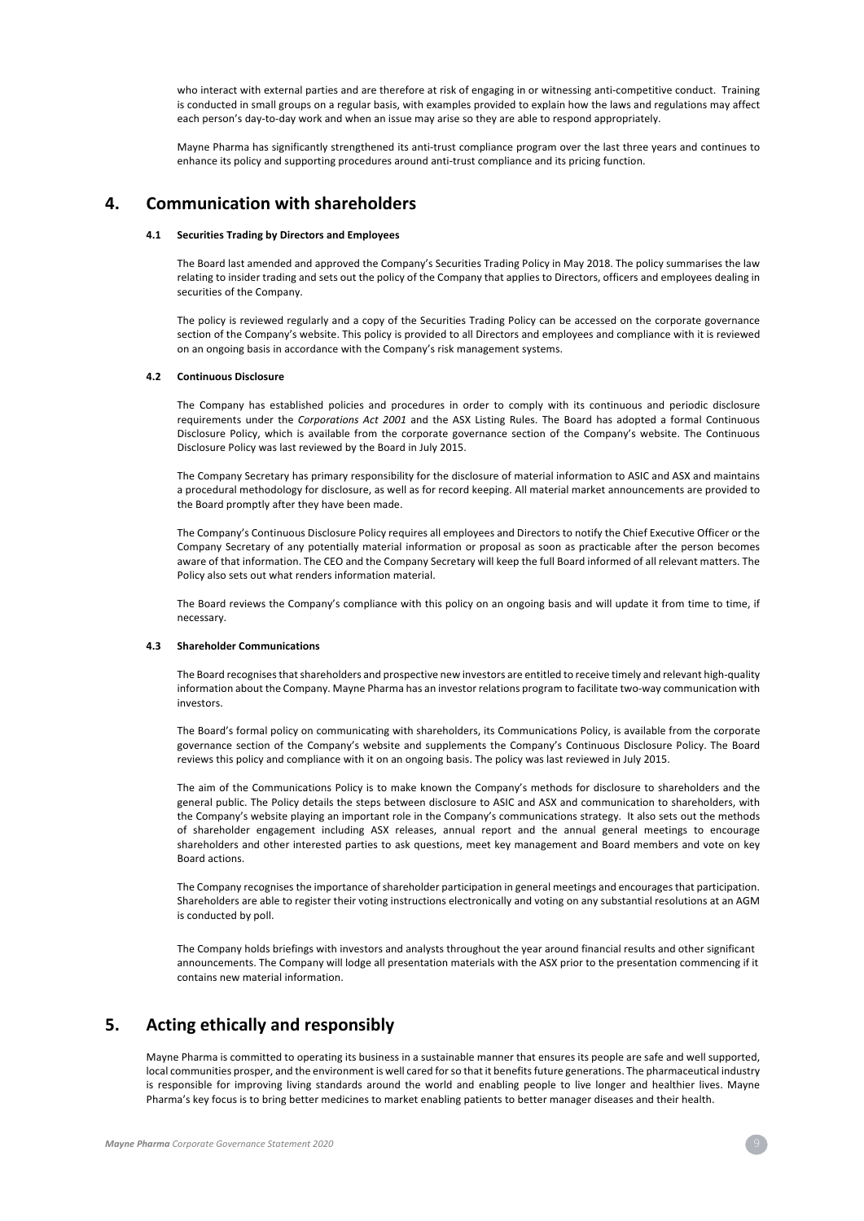who interact with external parties and are therefore at risk of engaging in or witnessing anti-competitive conduct. Training is conducted in small groups on a regular basis, with examples provided to explain how the laws and regulations may affect each person's day-to-day work and when an issue may arise so they are able to respond appropriately.

Mayne Pharma has significantly strengthened its anti-trust compliance program over the last three years and continues to enhance its policy and supporting procedures around anti-trust compliance and its pricing function.

# **4. Communication with shareholders**

### **4.1 Securities Trading by Directors and Employees**

The Board last amended and approved the Company's Securities Trading Policy in May 2018. The policy summarises the law relating to insider trading and sets out the policy of the Company that applies to Directors, officers and employees dealing in securities of the Company.

The policy is reviewed regularly and a copy of the Securities Trading Policy can be accessed on the corporate governance section of the Company's website. This policy is provided to all Directors and employees and compliance with it is reviewed on an ongoing basis in accordance with the Company's risk management systems.

### **4.2 Continuous Disclosure**

The Company has established policies and procedures in order to comply with its continuous and periodic disclosure requirements under the *Corporations Act 2001* and the ASX Listing Rules. The Board has adopted a formal Continuous Disclosure Policy, which is available from the corporate governance section of the Company's website. The Continuous Disclosure Policy was last reviewed by the Board in July 2015.

The Company Secretary has primary responsibility for the disclosure of material information to ASIC and ASX and maintains a procedural methodology for disclosure, as well as for record keeping. All material market announcements are provided to the Board promptly after they have been made.

The Company's Continuous Disclosure Policy requires all employees and Directors to notify the Chief Executive Officer or the Company Secretary of any potentially material information or proposal as soon as practicable after the person becomes aware of that information. The CEO and the Company Secretary will keep the full Board informed of all relevant matters. The Policy also sets out what renders information material.

The Board reviews the Company's compliance with this policy on an ongoing basis and will update it from time to time, if necessary.

### **4.3 Shareholder Communications**

The Board recognises that shareholders and prospective new investors are entitled to receive timely and relevant high-quality information about the Company. Mayne Pharma has an investor relations program to facilitate two-way communication with investors.

The Board's formal policy on communicating with shareholders, its Communications Policy, is available from the corporate governance section of the Company's website and supplements the Company's Continuous Disclosure Policy. The Board reviews this policy and compliance with it on an ongoing basis. The policy was last reviewed in July 2015.

The aim of the Communications Policy is to make known the Company's methods for disclosure to shareholders and the general public. The Policy details the steps between disclosure to ASIC and ASX and communication to shareholders, with the Company's website playing an important role in the Company's communications strategy. It also sets out the methods of shareholder engagement including ASX releases, annual report and the annual general meetings to encourage shareholders and other interested parties to ask questions, meet key management and Board members and vote on key Board actions.

The Company recognises the importance of shareholder participation in general meetings and encourages that participation. Shareholders are able to register their voting instructions electronically and voting on any substantial resolutions at an AGM is conducted by poll.

The Company holds briefings with investors and analysts throughout the year around financial results and other significant announcements. The Company will lodge all presentation materials with the ASX prior to the presentation commencing if it contains new material information.

# **5. Acting ethically and responsibly**

Mayne Pharma is committed to operating its business in a sustainable manner that ensures its people are safe and well supported, local communities prosper, and the environment is well cared for so that it benefits future generations. The pharmaceutical industry is responsible for improving living standards around the world and enabling people to live longer and healthier lives. Mayne Pharma's key focus is to bring better medicines to market enabling patients to better manager diseases and their health.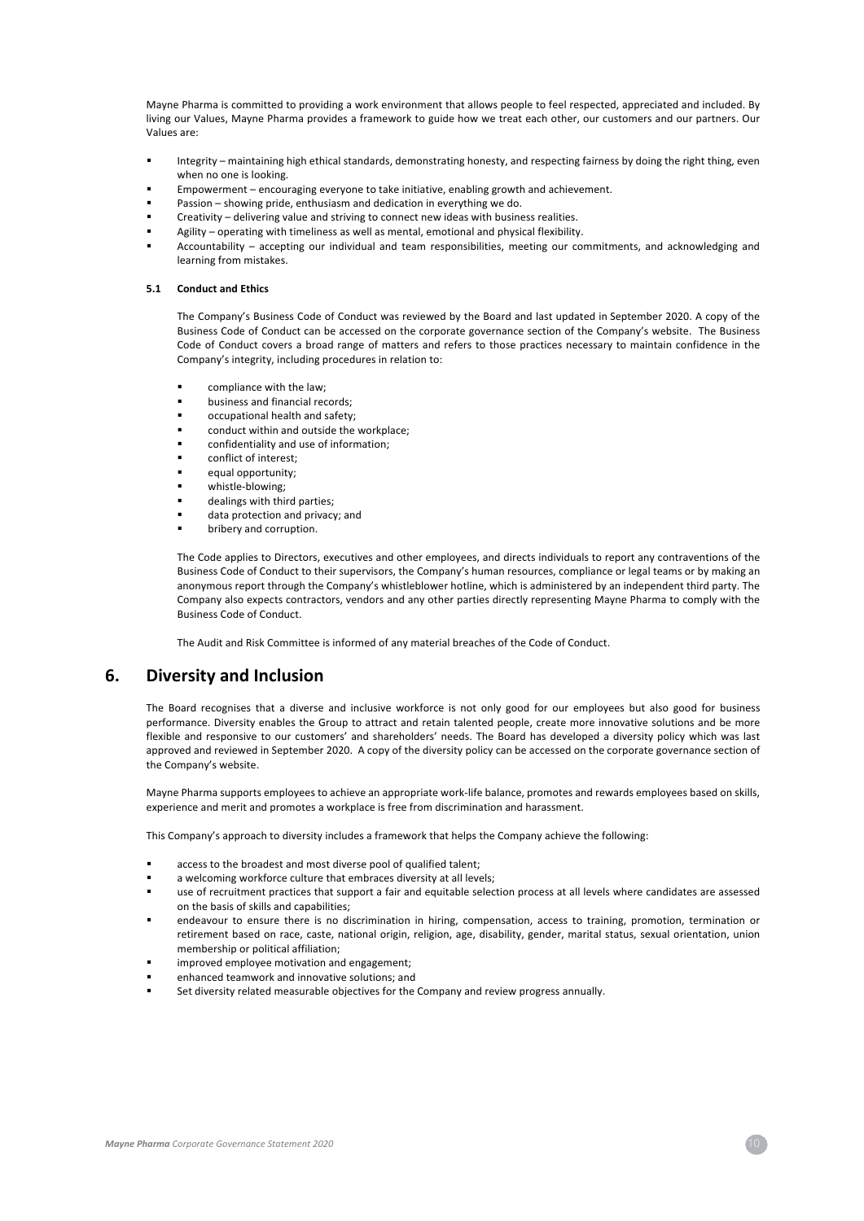Mayne Pharma is committed to providing a work environment that allows people to feel respected, appreciated and included. By living our Values, Mayne Pharma provides a framework to guide how we treat each other, our customers and our partners. Our Values are:

- Integrity maintaining high ethical standards, demonstrating honesty, and respecting fairness by doing the right thing, even when no one is looking.
- § Empowerment encouraging everyone to take initiative, enabling growth and achievement.
- Passion showing pride, enthusiasm and dedication in everything we do.
- § Creativity delivering value and striving to connect new ideas with business realities.
- Agility operating with timeliness as well as mental, emotional and physical flexibility.
- § Accountability accepting our individual and team responsibilities, meeting our commitments, and acknowledging and learning from mistakes.

### **5.1 Conduct and Ethics**

The Company's Business Code of Conduct was reviewed by the Board and last updated in September 2020. A copy of the Business Code of Conduct can be accessed on the corporate governance section of the Company's website. The Business Code of Conduct covers a broad range of matters and refers to those practices necessary to maintain confidence in the Company's integrity, including procedures in relation to:

- compliance with the law;
- § business and financial records;
- § occupational health and safety;
- conduct within and outside the workplace;
- confidentiality and use of information;
- conflict of interest:
- equal opportunity;
- § whistle-blowing;
- dealings with third parties;
- data protection and privacy; and
- bribery and corruption.

The Code applies to Directors, executives and other employees, and directs individuals to report any contraventions of the Business Code of Conduct to their supervisors, the Company's human resources, compliance or legal teams or by making an anonymous report through the Company's whistleblower hotline, which is administered by an independent third party. The Company also expects contractors, vendors and any other parties directly representing Mayne Pharma to comply with the Business Code of Conduct.

The Audit and Risk Committee is informed of any material breaches of the Code of Conduct.

# **6. Diversity and Inclusion**

The Board recognises that a diverse and inclusive workforce is not only good for our employees but also good for business performance. Diversity enables the Group to attract and retain talented people, create more innovative solutions and be more flexible and responsive to our customers' and shareholders' needs. The Board has developed a diversity policy which was last approved and reviewed in September 2020. A copy of the diversity policy can be accessed on the corporate governance section of the Company's website.

Mayne Pharma supports employees to achieve an appropriate work-life balance, promotes and rewards employees based on skills, experience and merit and promotes a workplace is free from discrimination and harassment.

This Company's approach to diversity includes a framework that helps the Company achieve the following:

- access to the broadest and most diverse pool of qualified talent:
- a welcoming workforce culture that embraces diversity at all levels;
- use of recruitment practices that support a fair and equitable selection process at all levels where candidates are assessed on the basis of skills and capabilities;
- endeavour to ensure there is no discrimination in hiring, compensation, access to training, promotion, termination or retirement based on race, caste, national origin, religion, age, disability, gender, marital status, sexual orientation, union membership or political affiliation;
- improved employee motivation and engagement:
- enhanced teamwork and innovative solutions; and
- Set diversity related measurable objectives for the Company and review progress annually.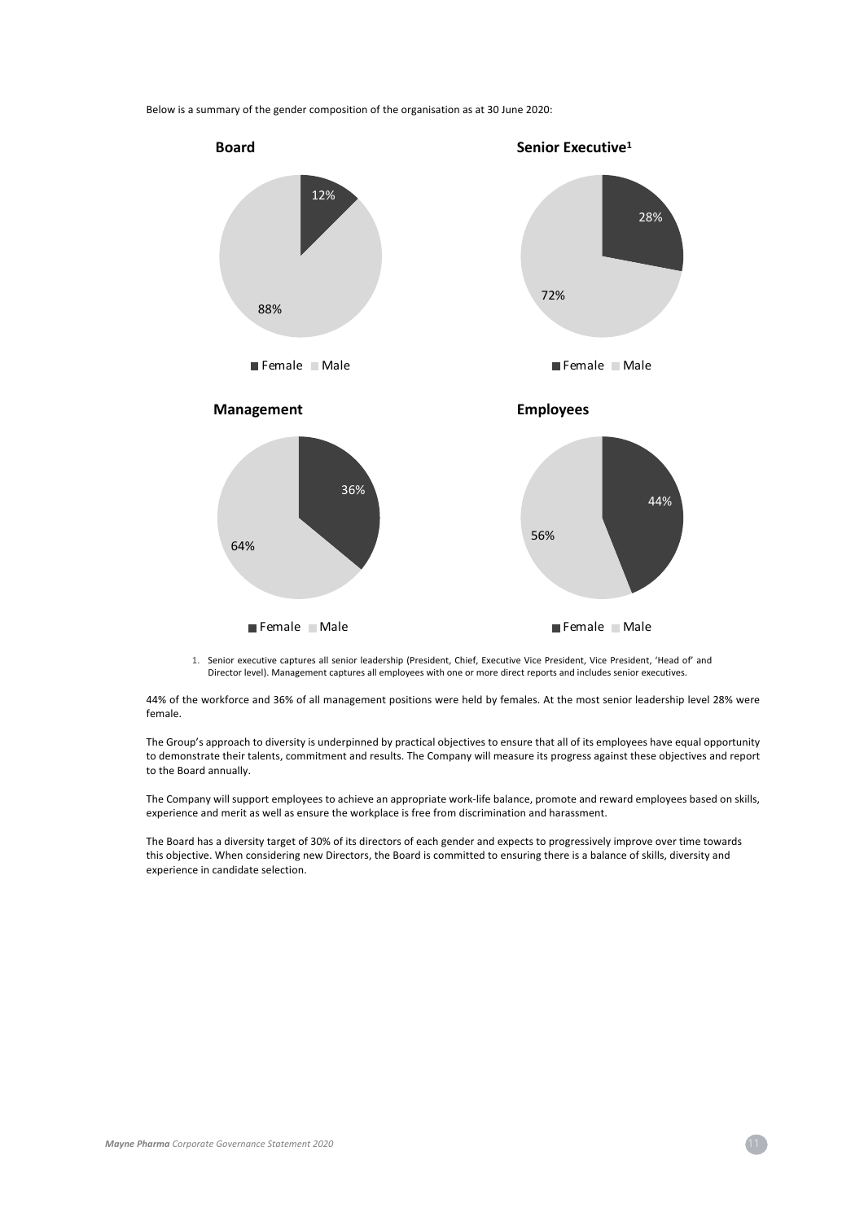Below is a summary of the gender composition of the organisation as at 30 June 2020:



1. Senior executive captures all senior leadership (President, Chief, Executive Vice President, Vice President, 'Head of' and Director level). Management captures all employees with one or more direct reports and includes senior executives.

44% of the workforce and 36% of all management positions were held by females. At the most senior leadership level 28% were female.

The Group's approach to diversity is underpinned by practical objectives to ensure that all of its employees have equal opportunity to demonstrate their talents, commitment and results. The Company will measure its progress against these objectives and report to the Board annually.

The Company will support employees to achieve an appropriate work-life balance, promote and reward employees based on skills, experience and merit as well as ensure the workplace is free from discrimination and harassment.

The Board has a diversity target of 30% of its directors of each gender and expects to progressively improve over time towards this objective. When considering new Directors, the Board is committed to ensuring there is a balance of skills, diversity and experience in candidate selection.